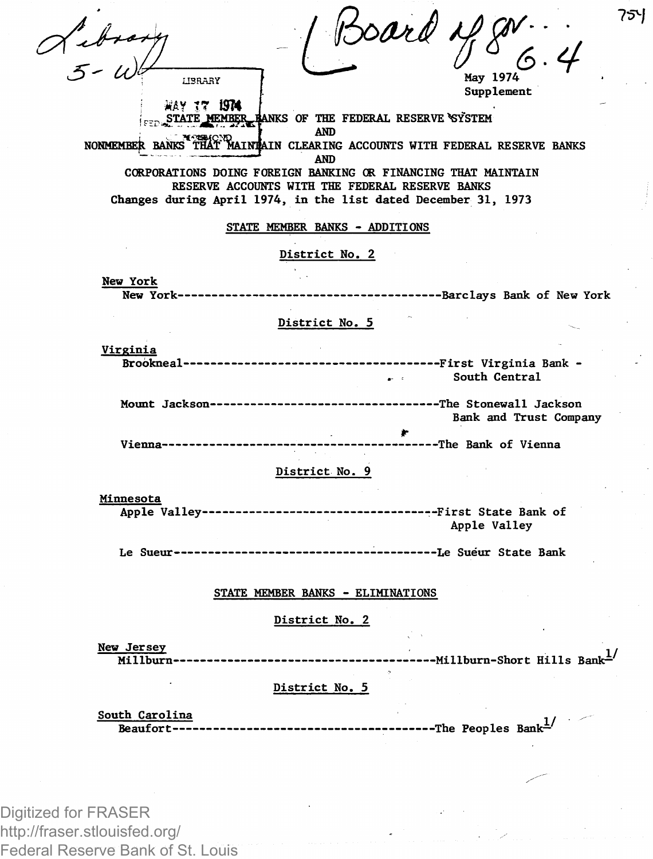| $x + y = 5$                                                                | Soard                                                                                                             |                                              | 75Y |
|----------------------------------------------------------------------------|-------------------------------------------------------------------------------------------------------------------|----------------------------------------------|-----|
|                                                                            |                                                                                                                   |                                              |     |
| <b>HRRARY</b>                                                              |                                                                                                                   | May 1974<br>Supplement                       |     |
| WAY 17 ISTA                                                                |                                                                                                                   |                                              |     |
|                                                                            | FED STATE MEMBER HANKS OF THE FEDERAL RESERVE SYSTEM                                                              |                                              |     |
| NONMEMBER BANKS THAT MAINTAIN CLEARING ACCOUNTS WITH FEDERAL RESERVE BANKS | <b>AND</b>                                                                                                        |                                              |     |
|                                                                            | AND                                                                                                               |                                              |     |
|                                                                            | CORPORATIONS DOING FOREIGN BANKING OR FINANCING THAT MAINTAIN                                                     |                                              |     |
|                                                                            | RESERVE ACCOUNTS WITH THE FEDERAL RESERVE BANKS<br>Changes during April 1974, in the list dated December 31, 1973 |                                              |     |
|                                                                            |                                                                                                                   |                                              |     |
|                                                                            | STATE MEMBER BANKS - ADDITIONS                                                                                    |                                              |     |
|                                                                            | District No. 2                                                                                                    |                                              |     |
|                                                                            |                                                                                                                   |                                              |     |
| New York                                                                   |                                                                                                                   |                                              |     |
| New York---------                                                          |                                                                                                                   | ----------Barclays Bank of New York          |     |
|                                                                            | District No. 5                                                                                                    |                                              |     |
|                                                                            |                                                                                                                   |                                              |     |
| Virginia                                                                   |                                                                                                                   |                                              |     |
|                                                                            | $\mathbf{r}$                                                                                                      | South Central                                |     |
|                                                                            | Mount Jackson--------------------------------The Stonewall Jackson                                                |                                              |     |
|                                                                            |                                                                                                                   | Bank and Trust Company                       |     |
|                                                                            |                                                                                                                   |                                              |     |
| Vienna-------------                                                        |                                                                                                                   | -------The Bank of Vienna                    |     |
|                                                                            | District No. 9                                                                                                    |                                              |     |
|                                                                            |                                                                                                                   |                                              |     |
| Minnesota<br>Apple Valley-----------------                                 |                                                                                                                   | ---------------First State Bank of           |     |
|                                                                            |                                                                                                                   | Apple Valley                                 |     |
|                                                                            |                                                                                                                   |                                              |     |
|                                                                            |                                                                                                                   |                                              |     |
|                                                                            |                                                                                                                   |                                              |     |
|                                                                            | STATE MEMBER BANKS - ELIMINATIONS                                                                                 |                                              |     |
|                                                                            | District No. 2                                                                                                    |                                              |     |
|                                                                            |                                                                                                                   |                                              |     |
| New Jersey<br>Millburn----                                                 |                                                                                                                   | -----Millburn-Short Hills Bank <sup>1/</sup> |     |
|                                                                            |                                                                                                                   |                                              |     |
|                                                                            | District No. 5                                                                                                    |                                              |     |
| South Carolina                                                             |                                                                                                                   |                                              |     |
| Beaufort----                                                               |                                                                                                                   | ------------The Peoples Bank <sup>1/</sup>   |     |
|                                                                            |                                                                                                                   |                                              |     |

Digitized for FRASER http://fraser.stlouisfed.org/ Federal Reserve Bank of St. Louis